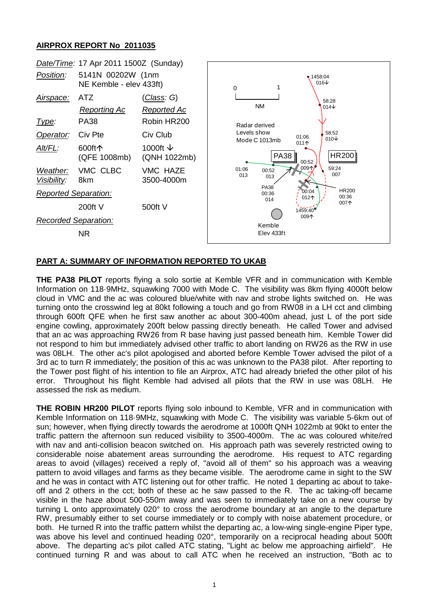## **AIRPROX REPORT No 2011035**



## **PART A: SUMMARY OF INFORMATION REPORTED TO UKAB**

**THE PA38 PILOT** reports flying a solo sortie at Kemble VFR and in communication with Kemble Information on 118·9MHz, squawking 7000 with Mode C. The visibility was 8km flying 4000ft below cloud in VMC and the ac was coloured blue/white with nav and strobe lights switched on. He was turning onto the crosswind leg at 80kt following a touch and go from RW08 in a LH cct and climbing through 600ft QFE when he first saw another ac about 300-400m ahead, just L of the port side engine cowling, approximately 200ft below passing directly beneath. He called Tower and advised that an ac was approaching RW26 from R base having just passed beneath him. Kemble Tower did not respond to him but immediately advised other traffic to abort landing on RW26 as the RW in use was 08LH. The other ac's pilot apologised and aborted before Kemble Tower advised the pilot of a 3rd ac to turn R immediately; the position of this ac was unknown to the PA38 pilot. After reporting to the Tower post flight of his intention to file an Airprox, ATC had already briefed the other pilot of his error. Throughout his flight Kemble had advised all pilots that the RW in use was 08LH. He assessed the risk as medium.

**THE ROBIN HR200 PILOT** reports flying solo inbound to Kemble, VFR and in communication with Kemble Information on 118·9MHz, squawking with Mode C. The visibility was variable 5-6km out of sun; however, when flying directly towards the aerodrome at 1000ft QNH 1022mb at 90kt to enter the traffic pattern the afternoon sun reduced visibility to 3500-4000m. The ac was coloured white/red with nav and anti-collision beacon switched on. His approach path was severely restricted owing to considerable noise abatement areas surrounding the aerodrome. His request to ATC regarding areas to avoid (villages) received a reply of, "avoid all of them" so his approach was a weaving pattern to avoid villages and farms as they became visible. The aerodrome came in sight to the SW and he was in contact with ATC listening out for other traffic. He noted 1 departing ac about to takeoff and 2 others in the cct; both of these ac he saw passed to the R. The ac taking-off became visible in the haze about 500-550m away and was seen to immediately take on a new course by turning L onto approximately 020° to cross the aerodrome boundary at an angle to the departure RW, presumably either to set course immediately or to comply with noise abatement procedure, or both. He turned R into the traffic pattern whilst the departing ac, a low-wing single-engine Piper type, was above his level and continued heading 020°, temporarily on a reciprocal heading about 500ft above. The departing ac's pilot called ATC stating, "Light ac below me approaching airfield". He continued turning R and was about to call ATC when he received an instruction, "Both ac to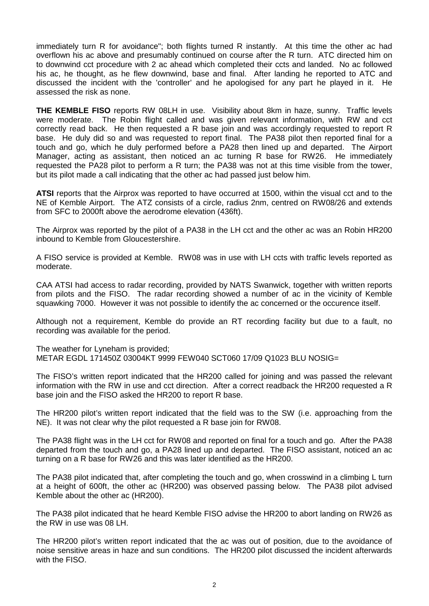immediately turn R for avoidance"; both flights turned R instantly. At this time the other ac had overflown his ac above and presumably continued on course after the R turn. ATC directed him on to downwind cct procedure with 2 ac ahead which completed their ccts and landed. No ac followed his ac, he thought, as he flew downwind, base and final. After landing he reported to ATC and discussed the incident with the 'controller' and he apologised for any part he played in it. He assessed the risk as none.

**THE KEMBLE FISO** reports RW 08LH in use. Visibility about 8km in haze, sunny. Traffic levels were moderate. The Robin flight called and was given relevant information, with RW and cct correctly read back. He then requested a R base join and was accordingly requested to report R base. He duly did so and was requested to report final. The PA38 pilot then reported final for a touch and go, which he duly performed before a PA28 then lined up and departed. The Airport Manager, acting as assistant, then noticed an ac turning R base for RW26. He immediately requested the PA28 pilot to perform a R turn; the PA38 was not at this time visible from the tower, but its pilot made a call indicating that the other ac had passed just below him.

**ATSI** reports that the Airprox was reported to have occurred at 1500, within the visual cct and to the NE of Kemble Airport. The ATZ consists of a circle, radius 2nm, centred on RW08/26 and extends from SFC to 2000ft above the aerodrome elevation (436ft).

The Airprox was reported by the pilot of a PA38 in the LH cct and the other ac was an Robin HR200 inbound to Kemble from Gloucestershire.

A FISO service is provided at Kemble. RW08 was in use with LH ccts with traffic levels reported as moderate.

CAA ATSI had access to radar recording, provided by NATS Swanwick, together with written reports from pilots and the FISO. The radar recording showed a number of ac in the vicinity of Kemble squawking 7000. However it was not possible to identify the ac concerned or the occurence itself.

Although not a requirement, Kemble do provide an RT recording facility but due to a fault, no recording was available for the period.

The weather for Lyneham is provided; METAR EGDL 171450Z 03004KT 9999 FEW040 SCT060 17/09 Q1023 BLU NOSIG=

The FISO's written report indicated that the HR200 called for joining and was passed the relevant information with the RW in use and cct direction. After a correct readback the HR200 requested a R base join and the FISO asked the HR200 to report R base.

The HR200 pilot's written report indicated that the field was to the SW (i.e. approaching from the NE). It was not clear why the pilot requested a R base join for RW08.

The PA38 flight was in the LH cct for RW08 and reported on final for a touch and go. After the PA38 departed from the touch and go, a PA28 lined up and departed. The FISO assistant, noticed an ac turning on a R base for RW26 and this was later identified as the HR200.

The PA38 pilot indicated that, after completing the touch and go, when crosswind in a climbing L turn at a height of 600ft, the other ac (HR200) was observed passing below. The PA38 pilot advised Kemble about the other ac (HR200).

The PA38 pilot indicated that he heard Kemble FISO advise the HR200 to abort landing on RW26 as the RW in use was 08 LH.

The HR200 pilot's written report indicated that the ac was out of position, due to the avoidance of noise sensitive areas in haze and sun conditions. The HR200 pilot discussed the incident afterwards with the FISO.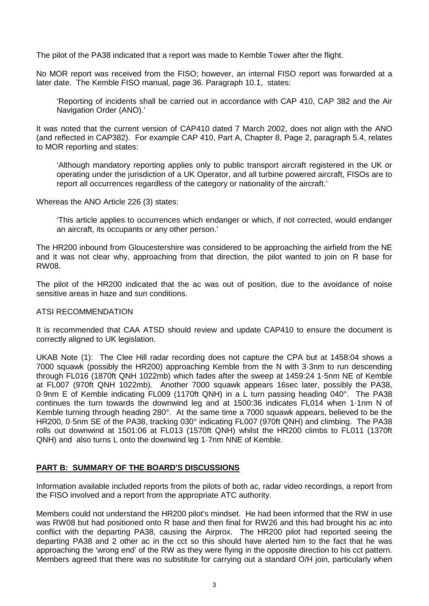The pilot of the PA38 indicated that a report was made to Kemble Tower after the flight.

No MOR report was received from the FISO; however, an internal FISO report was forwarded at a later date. The Kemble FISO manual, page 36. Paragraph 10.1, states:

'Reporting of incidents shall be carried out in accordance with CAP 410, CAP 382 and the Air Navigation Order (ANO).'

It was noted that the current version of CAP410 dated 7 March 2002, does not align with the ANO (and reflected in CAP382). For example CAP 410, Part A, Chapter 8, Page 2, paragraph 5.4, relates to MOR reporting and states:

'Although mandatory reporting applies only to public transport aircraft registered in the UK or operating under the jurisdiction of a UK Operator, and all turbine powered aircraft, FISOs are to report all occurrences regardless of the category or nationality of the aircraft.'

Whereas the ANO Article 226 (3) states:

'This article applies to occurrences which endanger or which, if not corrected, would endanger an aircraft, its occupants or any other person.'

The HR200 inbound from Gloucestershire was considered to be approaching the airfield from the NE and it was not clear why, approaching from that direction, the pilot wanted to join on R base for RW08.

The pilot of the HR200 indicated that the ac was out of position, due to the avoidance of noise sensitive areas in haze and sun conditions.

#### ATSI RECOMMENDATION

It is recommended that CAA ATSD should review and update CAP410 to ensure the document is correctly aligned to UK legislation.

UKAB Note (1): The Clee Hill radar recording does not capture the CPA but at 1458:04 shows a 7000 squawk (possibly the HR200) approaching Kemble from the N with 3·3nm to run descending through FL016 (1870ft QNH 1022mb) which fades after the sweep at 1459:24 1·5nm NE of Kemble at FL007 (970ft QNH 1022mb). Another 7000 squawk appears 16sec later, possibly the PA38, 0·9nm E of Kemble indicating FL009 (1170ft QNH) in a L turn passing heading 040°. The PA38 continues the turn towards the downwind leg and at 1500:36 indicates FL014 when 1·1nm N of Kemble turning through heading 280°. At the same time a 7000 squawk appears, believed to be the HR200, 0·5nm SE of the PA38, tracking 030° indicating FL007 (970ft QNH) and climbing. The PA38 rolls out downwind at 1501:06 at FL013 (1570ft QNH) whilst the HR200 climbs to FL011 (1370ft QNH) and also turns L onto the downwind leg 1·7nm NNE of Kemble.

#### **PART B: SUMMARY OF THE BOARD'S DISCUSSIONS**

Information available included reports from the pilots of both ac, radar video recordings, a report from the FISO involved and a report from the appropriate ATC authority.

Members could not understand the HR200 pilot's mindset. He had been informed that the RW in use was RW08 but had positioned onto R base and then final for RW26 and this had brought his ac into conflict with the departing PA38, causing the Airprox. The HR200 pilot had reported seeing the departing PA38 and 2 other ac in the cct so this should have alerted him to the fact that he was approaching the 'wrong end' of the RW as they were flying in the opposite direction to his cct pattern. Members agreed that there was no substitute for carrying out a standard O/H join, particularly when